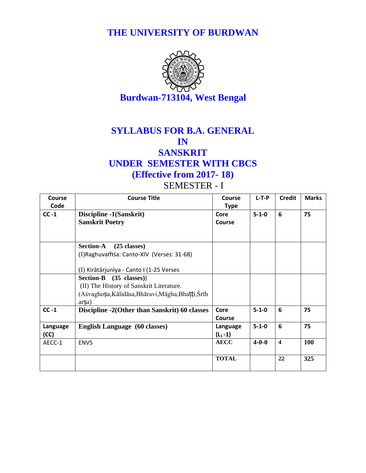**THE UNIVERSITY OF BURDWAN**



### **SYLLABUS FOR B.A. GENERAL IN SANSKRIT UNDER SEMESTER WITH CBCS (Effective from 2017- 18)**

#### SEMESTER - I

| Course   | <b>Course Title</b>                                | <b>Course</b> | $L-T-P$     | <b>Credit</b>           | <b>Marks</b> |
|----------|----------------------------------------------------|---------------|-------------|-------------------------|--------------|
| Code     |                                                    | <b>Type</b>   |             |                         |              |
| $CC -1$  | Discipline -1(Sanskrit)                            | Core          | $5 - 1 - 0$ | 6                       | 75           |
|          | <b>Sanskrit Poetry</b>                             | Course        |             |                         |              |
|          |                                                    |               |             |                         |              |
|          | <b>Section-A</b><br>$(25$ classes)                 |               |             |                         |              |
|          | (I) Raghuvamás: Canto-XIV (Verses: 31-68)          |               |             |                         |              |
|          | (I) Kirātārjunīya - Canto I (1-25 Verses           |               |             |                         |              |
|          | Section-B (35 classes))                            |               |             |                         |              |
|          | (II) The History of Sanskrit Literature.           |               |             |                         |              |
|          | (Aśvaghosa, Kālidāsa, Bhāravi, Māgha, Bhatti, Śrīh |               |             |                         |              |
|          | arSa)                                              |               |             |                         |              |
| $CC -1$  | Discipline -2(Other than Sanskrit) 60 classes      | Core          | $5 - 1 - 0$ | 6                       | 75           |
|          |                                                    | <b>Course</b> |             |                         |              |
| Language | <b>English Language</b> (60 classes)               | Language      | $5 - 1 - 0$ | 6                       | 75           |
| (CC)     |                                                    | $(L_1 - 1)$   |             |                         |              |
| AECC-1   | <b>ENVS</b>                                        | <b>AECC</b>   | $4 - 0 - 0$ | $\overline{\mathbf{4}}$ | 100          |
|          |                                                    | <b>TOTAL</b>  |             | 22                      | 325          |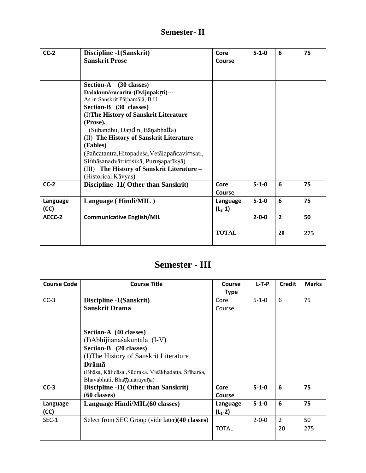#### **Semester- II**

| $CC-2$   | Discipline -1(Sanskrit)                       | Core         | $5 - 1 - 0$ | 6              | 75  |
|----------|-----------------------------------------------|--------------|-------------|----------------|-----|
|          | <b>Sanskrit Prose</b>                         | Course       |             |                |     |
|          |                                               |              |             |                |     |
|          |                                               |              |             |                |     |
|          | <b>Section-A</b><br>$(30 \text{ classes})$    |              |             |                |     |
|          | Daśakumāracarita-(Dvijopakrti)---             |              |             |                |     |
|          | As in Sanskrit Pāthamālā, B.U.                |              |             |                |     |
|          | Section-B (30 classes)                        |              |             |                |     |
|          | (I) The History of Sanskrit Literature        |              |             |                |     |
|          | (Prose).                                      |              |             |                |     |
|          | (Subandhu, Daṇḍin, Bāṇabhaṭṭa)                |              |             |                |     |
|          | (II) The History of Sanskrit Literature       |              |             |                |     |
|          | (Fables)                                      |              |             |                |     |
|          | (Pañcatantra, Hitopadeśa, Vetālapañcavimśati, |              |             |                |     |
|          |                                               |              |             |                |     |
|          | (III) The History of Sanskrit Literature -    |              |             |                |     |
|          | (Historical Kāvyas)                           |              |             |                |     |
| $CC-2$   | Discipline -I1(Other than Sanskrit)           | Core         | $5 - 1 - 0$ | 6              | 75  |
|          |                                               | Course       |             |                |     |
| Language | Language (Hindi/MIL)                          | Language     | $5 - 1 - 0$ | 6              | 75  |
| (CC)     |                                               | $(L_2 - 1)$  |             |                |     |
| AECC-2   | <b>Communicative English/MIL</b>              |              | $2 - 0 - 0$ | $\overline{2}$ | 50  |
|          |                                               |              |             |                |     |
|          |                                               |              |             |                |     |
|          | Sinhāsanadvātrimśikā, Puruṣaparīkṣā)          | <b>TOTAL</b> |             | 20             | 275 |

## **Semester - III**

| <b>Course Code</b> | <b>Course Title</b>                                | Course        | $L-T-P$     | <b>Credit</b>  | <b>Marks</b> |
|--------------------|----------------------------------------------------|---------------|-------------|----------------|--------------|
|                    |                                                    | <b>Type</b>   |             |                |              |
| $CC-3$             | Discipline -1(Sanskrit)                            | Core          | $5 - 1 - 0$ | 6              | 75           |
|                    | <b>Sanskrit Drama</b>                              | Course        |             |                |              |
|                    |                                                    |               |             |                |              |
|                    |                                                    |               |             |                |              |
|                    | Section-A (40 classes)                             |               |             |                |              |
|                    | (I)Abhijñānaśakuntala (I-V)                        |               |             |                |              |
|                    | Section-B (20 classes)                             |               |             |                |              |
|                    | (I) The History of Sanskrit Literature             |               |             |                |              |
|                    | Drāmā                                              |               |             |                |              |
|                    | (Bhāsa, Kālidāsa, Śūdraka, Viśākhadatta, Śrīharṣa, |               |             |                |              |
|                    | Bhavabhūti, Bhattanārāyana)                        |               |             |                |              |
| $CC-3$             | Discipline -I1( Other than Sanskrit)               | Core          | $5 - 1 - 0$ | 6              | 75           |
|                    | $(60 \text{ classes})$                             | <b>Course</b> |             |                |              |
| Language           | Language Hindi/MIL(60 classes)                     | Language      | $5 - 1 - 0$ | 6              | 75           |
| (CC)               |                                                    | $(L_1 - 2)$   |             |                |              |
| SEC-1              | Select from SEC Group (vide later)(40 classes)     |               | $2 - 0 - 0$ | $\overline{2}$ | 50           |
|                    |                                                    | <b>TOTAL</b>  |             | 20             | 275          |
|                    |                                                    |               |             |                |              |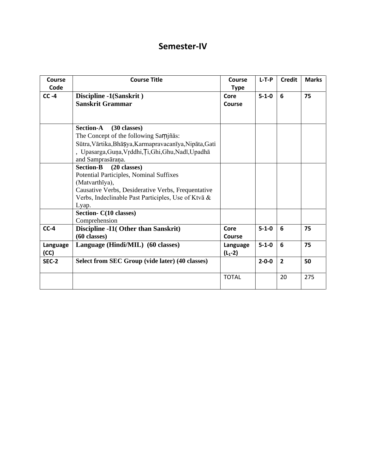#### **Semester-IV**

| <b>Course</b><br>Code | <b>Course Title</b>                                                                                                                                                                                                                                                      | <b>Course</b><br><b>Type</b> | $L-T-P$     | <b>Credit</b>  | <b>Marks</b> |
|-----------------------|--------------------------------------------------------------------------------------------------------------------------------------------------------------------------------------------------------------------------------------------------------------------------|------------------------------|-------------|----------------|--------------|
| $CC -4$               | Discipline -1(Sanskrit)<br>Sanskrit Grammar                                                                                                                                                                                                                              | Core<br>Course               | $5 - 1 - 0$ | 6              | 75           |
|                       | <b>Section-A</b><br>$(30 \text{ classes})$<br>The Concept of the following Samjñās:<br>Sūtra, Vārtika, Bhā Şya, Karmapravacanīya, Nipāta, Gati<br>, Upasarga, Guņa, Vrddhi, Ti, Ghi, Ghu, Nadī, Upadhā<br>and Samprasāraņa.                                              |                              |             |                |              |
|                       | <b>Section-B</b><br>$(20 \text{ classes})$<br>Potential Participles, Nominal Suffixes<br>(Matvarthīya),<br>Causative Verbs, Desiderative Verbs, Frequentative<br>Verbs, Indeclinable Past Participles, Use of Ktvā &<br>Lyap.<br>Section- C(10 classes)<br>Comprehension |                              |             |                |              |
| $CC-4$                | Discipline -I1(Other than Sanskrit)<br>$(60 \text{ classes})$                                                                                                                                                                                                            | Core<br>Course               | $5 - 1 - 0$ | 6              | 75           |
| Language<br>(CC)      | Language (Hindi/MIL) (60 classes)                                                                                                                                                                                                                                        | Language<br>$(L_1 - 2)$      | $5 - 1 - 0$ | 6              | 75           |
| <b>SEC-2</b>          | Select from SEC Group (vide later) (40 classes)                                                                                                                                                                                                                          |                              | $2 - 0 - 0$ | $\overline{2}$ | 50           |
|                       |                                                                                                                                                                                                                                                                          | <b>TOTAL</b>                 |             | 20             | 275          |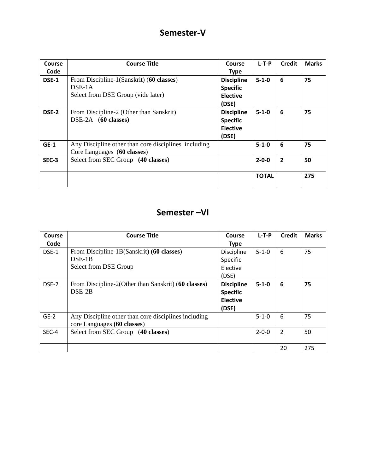#### **Semester-V**

| Course | <b>Course Title</b>                                  | Course            | $L-T-P$      | <b>Credit</b>  | <b>Marks</b> |
|--------|------------------------------------------------------|-------------------|--------------|----------------|--------------|
| Code   |                                                      | <b>Type</b>       |              |                |              |
| DSE-1  | From Discipline-1(Sanskrit) (60 classes)             | <b>Discipline</b> | $5 - 1 - 0$  | 6              | 75           |
|        | $DSE-1A$                                             | <b>Specific</b>   |              |                |              |
|        | Select from DSE Group (vide later)                   | <b>Elective</b>   |              |                |              |
|        |                                                      | (DSE)             |              |                |              |
| DSE-2  | From Discipline-2 (Other than Sanskrit)              | <b>Discipline</b> | $5 - 1 - 0$  | 6              | 75           |
|        | $DSE-2A$ (60 classes)                                | <b>Specific</b>   |              |                |              |
|        |                                                      | <b>Elective</b>   |              |                |              |
|        |                                                      | (DSE)             |              |                |              |
| $GE-1$ | Any Discipline other than core disciplines including |                   | $5 - 1 - 0$  | 6              | 75           |
|        | Core Languages (60 classes)                          |                   |              |                |              |
| SEC-3  | Select from SEC Group (40 classes)                   |                   | $2 - 0 - 0$  | $\overline{2}$ | 50           |
|        |                                                      |                   |              |                |              |
|        |                                                      |                   | <b>TOTAL</b> |                | 275          |
|        |                                                      |                   |              |                |              |

#### **Semester –VI**

| Course | <b>Course Title</b>                                  | Course            | $L-T-P$     | Credit         | <b>Marks</b> |
|--------|------------------------------------------------------|-------------------|-------------|----------------|--------------|
| Code   |                                                      | <b>Type</b>       |             |                |              |
| DSE-1  | From Discipline-1B(Sanskrit) (60 classes)            | Discipline        | $5 - 1 - 0$ | 6              | 75           |
|        | $DSE-1B$                                             | Specific          |             |                |              |
|        | Select from DSE Group                                | Elective          |             |                |              |
|        |                                                      | (DSE)             |             |                |              |
| DSE-2  | From Discipline-2(Other than Sanskrit) (60 classes)  | <b>Discipline</b> | $5 - 1 - 0$ | 6              | 75           |
|        | $DSE-2B$                                             | <b>Specific</b>   |             |                |              |
|        |                                                      | <b>Elective</b>   |             |                |              |
|        |                                                      | (DSE)             |             |                |              |
| $GE-2$ | Any Discipline other than core disciplines including |                   | $5 - 1 - 0$ | 6              | 75           |
|        | core Languages (60 classes)                          |                   |             |                |              |
| SEC-4  | Select from SEC Group (40 classes)                   |                   | $2 - 0 - 0$ | $\overline{2}$ | 50           |
|        |                                                      |                   |             |                |              |
|        |                                                      |                   |             | 20             | 275          |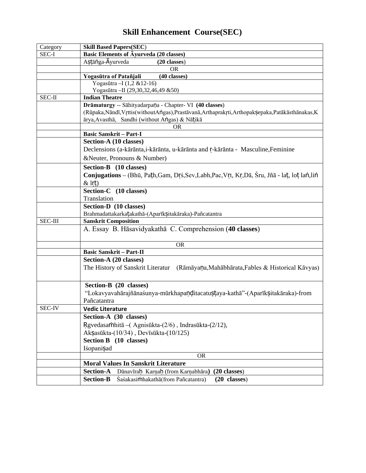| Category       | <b>Skill Based Papers(SEC)</b>                                                                         |
|----------------|--------------------------------------------------------------------------------------------------------|
| SEC-I          | <b>Basic Elements of Ayurveda (20 classes)</b>                                                         |
|                | Astānga-Ayurveda<br>(20 classes)                                                                       |
|                | <b>OR</b>                                                                                              |
|                | (40 classes)<br>Yogasūtra of Patañjali                                                                 |
|                | Yogasūtra-I (1,2 & 12-16)                                                                              |
|                | Yogasūtra-II (29,30,32,46,49 &50)                                                                      |
| SEC-II         | <b>Indian Theatre</b>                                                                                  |
|                | Drāmaturgy -- Sāhityadarpaņa - Chapter- VI (40 classes)                                                |
|                | (Rūpaka, Nāndī, Vrttis (without Angas), Prastāvanā, Arthaprakrti, Arthopak Şepaka, Patākās thānakas, K |
|                | ārya, Avasthā, Sandhi (without Angas) & Nāțikā                                                         |
|                | OR                                                                                                     |
|                | <b>Basic Sanskrit - Part-I</b>                                                                         |
|                | Section-A (10 classes)                                                                                 |
|                | Declensions (a-kārānta, i-kārānta, u-kārānta and r-kārānta - Masculine, Feminine                       |
|                | &Neuter, Pronouns & Number)                                                                            |
|                | Section-B (10 classes)                                                                                 |
|                | Conjugations – (Bhū, Path, Gam, Drš, Sev, Labh, Pac, Vrt, Kr, Dā, Śru, Jñā - lat, lot lan, lin         |
|                | $&$ lrt)                                                                                               |
|                | Section-C (10 classes)                                                                                 |
|                | Translation                                                                                            |
|                | Section-D (10 classes)                                                                                 |
|                | Brahmadattakarkatakathā-(Aparīk Sitakāraka)-Pañcatantra                                                |
| <b>SEC-III</b> | <b>Sanskrit Composition</b>                                                                            |
|                | A. Essay B. Hāsavidyakathā C. Comprehension (40 classes)                                               |
|                |                                                                                                        |
|                | <b>OR</b>                                                                                              |
|                | <b>Basic Sanskrit - Part-II</b>                                                                        |
|                | Section-A (20 classes)                                                                                 |
|                | The History of Sanskrit Literatur<br>(Rāmāyaņa, Mahābhārata, Fables & Historical Kāvyas)               |
|                |                                                                                                        |
|                | Section-B (20 classes)                                                                                 |
|                | "Lokavyavahārajñānaśunya-mūrkhapaņditacatustaya-kathā"-(Aparīksitakāraka)-from                         |
|                | Pañcatantra                                                                                            |
| <b>SEC-IV</b>  | <b>Vedic Literature</b>                                                                                |
|                | Section-A (30 classes)                                                                                 |
|                | Rgvedasamhitā - (Agnisūkta-(2/6), Indrasūkta-(2/12),                                                   |
|                |                                                                                                        |
|                | Aksasūkta-(10/34), Devīsūkta-(10/125)                                                                  |
|                | Section B (10 classes)                                                                                 |
|                | Iśopanisad                                                                                             |
|                | <b>OR</b>                                                                                              |
|                | <b>Moral Values In Sanskrit Literature</b>                                                             |
|                | <b>Section-A</b><br>Dānavīrah Karņah (from Karņabhāra)<br>$(20 \text{ classes})$                       |
|                | <b>Section-B</b><br>$(20 \text{ classes})$<br>Śaśakasimhakathā (from Pañcatantra)                      |

## **Skill Enhancement Course(SEC)**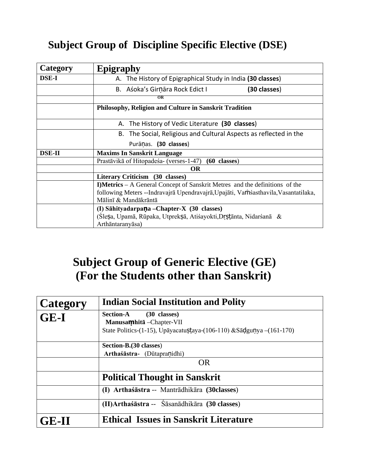## **Subject Group of Discipline Specific Elective (DSE)**

| Category      | <b>Epigraphy</b>                                                                   |
|---------------|------------------------------------------------------------------------------------|
| <b>DSE-I</b>  | A. The History of Epigraphical Study in India (30 classes)                         |
|               | (30 classes)<br>B. Aśoka's Girnāra Rock Edict I                                    |
|               | $\overline{OR}$                                                                    |
|               | Philosophy, Religion and Culture in Sanskrit Tradition                             |
|               | The History of Vedic Literature (30 classes)<br>А.                                 |
|               | The Social, Religious and Cultural Aspects as reflected in the<br>В.               |
|               | Purānas. (30 classes)                                                              |
| <b>DSE-II</b> | <b>Maxims In Sanskrit Language</b>                                                 |
|               | Prastāvikā of Hitopadeśa- (verses-1-47) (60 classes)                               |
|               | <b>OR</b>                                                                          |
|               | Literary Criticism (30 classes)                                                    |
|               | I)Metrics – A General Concept of Sanskrit Metres and the definitions of the        |
|               | following Meters --Indravajrā Upendravajrā, Upajāti, Vamsasthavila, Vasantatilaka, |
|               | Mālinī & Mandākrāntā                                                               |
|               | (I) Sāhityadarpaņa – Chapter-X (30 classes)                                        |
|               | (Slesa, Upamā, Rūpaka, Utpreksā, Atišayokti, Drstānta, Nidaršanā &                 |
|               | Arthāntaranyāsa)                                                                   |

# **Subject Group of Generic Elective (GE) (For the Students other than Sanskrit)**

| Category    | <b>Indian Social Institution and Polity</b>                                                                                              |
|-------------|------------------------------------------------------------------------------------------------------------------------------------------|
| <b>GE-I</b> | <b>Section-A</b><br>(30 classes)<br>Manusamhitā - Chapter-VII<br>State Politics-(1-15), Upāyacatustaya-(106-110) & Sādgunya $-(161-170)$ |
|             | Section-B. (30 classes)<br>Arthaśāstra- (Dūtapranidhi)                                                                                   |
|             | <b>OR</b>                                                                                                                                |
|             | <b>Political Thought in Sanskrit</b>                                                                                                     |
|             | (I) Arthaśāstra -- Mantrādhikāra (30 classes)                                                                                            |
|             | (II) Arthaśāstra -- Śāsanādhikāra (30 classes)                                                                                           |
| GE-II       | <b>Ethical Issues in Sanskrit Literature</b>                                                                                             |